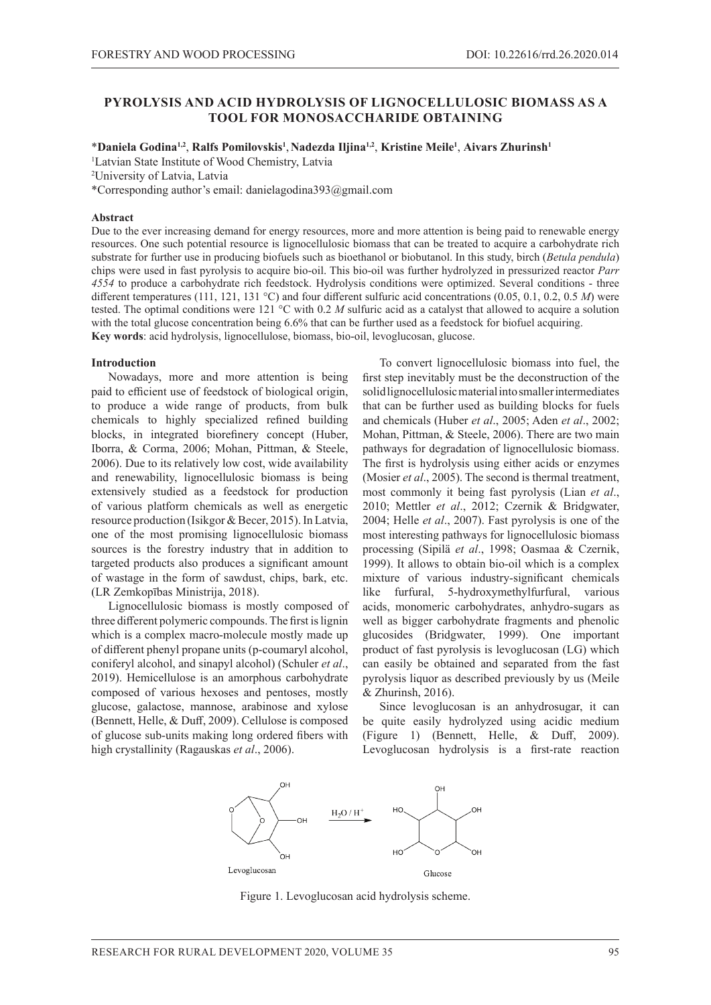## **PYROLYSIS AND ACID HYDROLYSIS OF LIGNOCELLULOSIC BIOMASS AS A TOOL FOR MONOSACCHARIDE OBTAINING**

\***Daniela Godina1,2**, **Ralfs Pomilovskis<sup>1</sup>** , **Nadezda Iljina1,2**, **Kristine Meile<sup>1</sup>** , **Aivars Zhurinsh<sup>1</sup>**

1 Latvian State Institute of Wood Chemistry, Latvia

2 University of Latvia, Latvia

\*Corresponding author's email: danielagodina393@gmail.com

### **Abstract**

Due to the ever increasing demand for energy resources, more and more attention is being paid to renewable energy resources. One such potential resource is lignocellulosic biomass that can be treated to acquire a carbohydrate rich substrate for further use in producing biofuels such as bioethanol or biobutanol. In this study, birch (*Betula pendula*) chips were used in fast pyrolysis to acquire bio-oil. This bio-oil was further hydrolyzed in pressurized reactor *Parr 4554* to produce a carbohydrate rich feedstock. Hydrolysis conditions were optimized. Several conditions - three different temperatures (111, 121, 131 °C) and four different sulfuric acid concentrations (0.05, 0.1, 0.2, 0.5 *M*) were tested. The optimal conditions were 121 °C with 0.2 *M* sulfuric acid as a catalyst that allowed to acquire a solution with the total glucose concentration being 6.6% that can be further used as a feedstock for biofuel acquiring. **Key words**: acid hydrolysis, lignocellulose, biomass, bio-oil, levoglucosan, glucose.

### **Introduction**

Nowadays, more and more attention is being paid to efficient use of feedstock of biological origin, to produce a wide range of products, from bulk chemicals to highly specialized refined building blocks, in integrated biorefinery concept (Huber, Iborra, & Corma, 2006; Mohan, Pittman, & Steele, 2006). Due to its relatively low cost, wide availability and renewability, lignocellulosic biomass is being extensively studied as a feedstock for production of various platform chemicals as well as energetic resource production (Isikgor & Becer, 2015). In Latvia, one of the most promising lignocellulosic biomass sources is the forestry industry that in addition to targeted products also produces a significant amount of wastage in the form of sawdust, chips, bark, etc. (LR Zemkopības Ministrija, 2018).

Lignocellulosic biomass is mostly composed of three different polymeric compounds. The first is lignin which is a complex macro-molecule mostly made up of different phenyl propane units (p-coumaryl alcohol, coniferyl alcohol, and sinapyl alcohol) (Schuler *et al*., 2019). Hemicellulose is an amorphous carbohydrate composed of various hexoses and pentoses, mostly glucose, galactose, mannose, arabinose and xylose (Bennett, Helle, & Duff, 2009). Cellulose is composed of glucose sub-units making long ordered fibers with high crystallinity (Ragauskas *et al*., 2006).

To convert lignocellulosic biomass into fuel, the first step inevitably must be the deconstruction of the solid lignocellulosic material into smaller intermediates that can be further used as building blocks for fuels and chemicals (Huber *et al*., 2005; Aden *et al*., 2002; Mohan, Pittman, & Steele, 2006). There are two main pathways for degradation of lignocellulosic biomass. The first is hydrolysis using either acids or enzymes (Mosier *et al*., 2005). The second is thermal treatment, most commonly it being fast pyrolysis (Lian *et al*., 2010; Mettler *et al*., 2012; Czernik & Bridgwater, 2004; Helle *et al*., 2007). Fast pyrolysis is one of the most interesting pathways for lignocellulosic biomass processing (Sipilä *et al*., 1998; Oasmaa & Czernik, 1999). It allows to obtain bio-oil which is a complex mixture of various industry-significant chemicals like furfural, 5-hydroxymethylfurfural, various acids, monomeric carbohydrates, anhydro-sugars as well as bigger carbohydrate fragments and phenolic glucosides (Bridgwater, 1999). One important product of fast pyrolysis is levoglucosan (LG) which can easily be obtained and separated from the fast pyrolysis liquor as described previously by us (Meile & Zhurinsh, 2016).

Since levoglucosan is an anhydrosugar, it can be quite easily hydrolyzed using acidic medium (Figure 1) (Bennett, Helle, & Duff, 2009). Levoglucosan hydrolysis is a first-rate reaction



Figure 1. Levoglucosan acid hydrolysis scheme.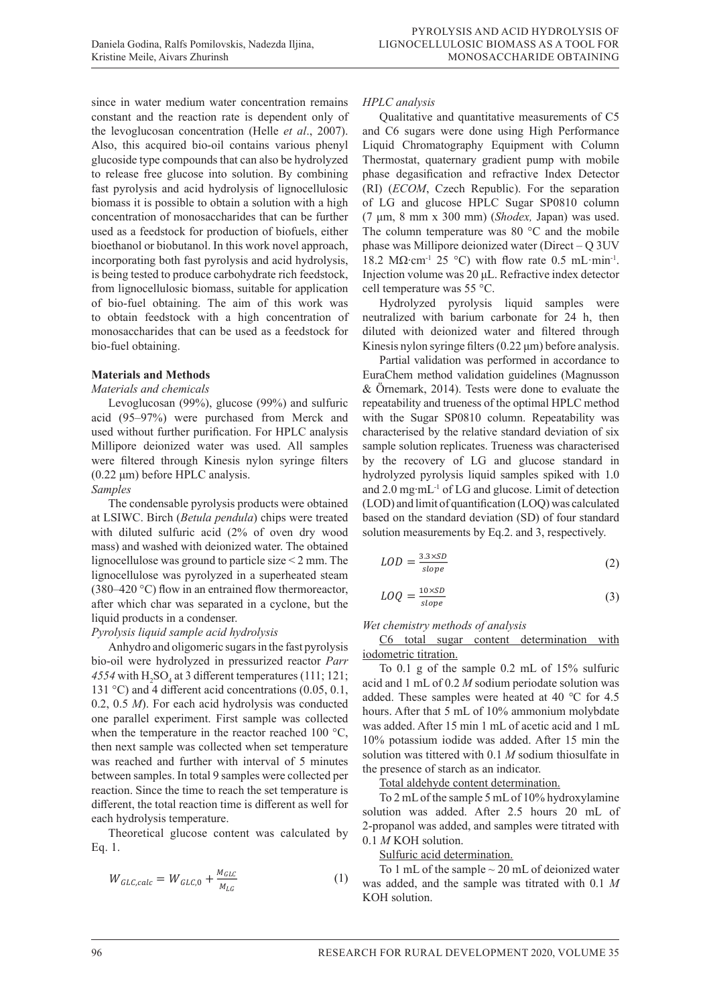since in water medium water concentration remains constant and the reaction rate is dependent only of the levoglucosan concentration (Helle *et al*., 2007). Also, this acquired bio-oil contains various phenyl glucoside type compounds that can also be hydrolyzed to release free glucose into solution. By combining fast pyrolysis and acid hydrolysis of lignocellulosic biomass it is possible to obtain a solution with a high concentration of monosaccharides that can be further used as a feedstock for production of biofuels, either bioethanol or biobutanol. In this work novel approach, incorporating both fast pyrolysis and acid hydrolysis, is being tested to produce carbohydrate rich feedstock, from lignocellulosic biomass, suitable for application of bio-fuel obtaining. The aim of this work was to obtain feedstock with a high concentration of monosaccharides that can be used as a feedstock for bio-fuel obtaining.

### **Materials and Methods**

### *Materials and chemicals*

Levoglucosan (99%), glucose (99%) and sulfuric acid (95–97%) were purchased from Merck and used without further purification. For HPLC analysis were filtered through Kinesis nylon syringe filters (0.22 μm) before HPLC analysis.

### *Samples*

The condensable pyrolysis products were obtained at LSIWC. Birch (*Betula pendula*) chips were treated with diluted sulfuric acid (2% of oven dry wood mass) and washed with deionized water. The obtained lignocellulose was ground to particle size < 2 mm. The lignocellulose was pyrolyzed in a superheated steam  $(380-420 \degree C)$  flow in an entrained flow thermoreactor,  $I_{A_1} = 10 \times SD$ after which char was separated in a cyclone, but the liquid products in a condenser.

## *Pyrolysis liquid sample acid hydrolysis*

Anhydro and oligomeric sugars in the fast pyrolysis bio-oil were hydrolyzed in pressurized reactor *Parr* **iodometric titration.** For  $\theta$  and  $\theta$  and  $\theta$  and  $\theta$  and  $\theta$  and  $\theta$  and  $\theta$  and  $\theta$  and  $\theta$  and  $\theta$  and  $\theta$  and  $\theta$  and  $\theta$  and  $\theta$  and  $\theta$  and  $\theta$  *4554* with  $H_2SO_4$  at 3 different temperatures (111; 121; To 0.1 131 °C) and 4 different acid concentrations  $(0.05, 0.1, 131)$ 0.2, 0.5 *M*). For each acid hydrolysis was conducted one parallel experiment. First sample was collected when the temperature in the reactor reached 100 °C, then next sample was collected when set temperature was reached and further with interval of 5 minutes between samples. In total 9 samples were collected per Total aldehyde content determination reaction. Since the time to reach the set temperature is  $\frac{10 \text{ and another decimal}}{T_0 2 \text{ mJ of the sample 5 mJ of } 10\% \text{ hydroxylamine}}$ different, the total reaction time is different as well for  $\frac{102 \text{ mL or its sample 5 mL or 1000}yndoxygenine}{\text{solution. } was added. After 2.5 hours, 20 mL of}$ each hydrolysis temperature.

Eq. 1. set temperature is different as well for the time is different as well for each hydrolysis temperature.

$$
W_{GLC,calc} = W_{GLC,0} + \frac{M_{GLC}}{M_{LG}}
$$
 (1)

#### *HPLC analysis*  $\overline{f}$  analysis Millipore deionized water was used. All samples was used. All samples were filtered through  $\overline{f}$  $\mathbf{F}(\mathbf{C}) = \mathbf{I}(\mathbf{C})$

Le *analysis*<br>Qualitative and quantitative measurements of C5 and C6 sugars were done using High Performance *Samples* Liquid Chromatography Equipment with Column<br>The column Thermostat, quaternary gradient pump with mobile phase degasification and refractive Index Detector (RI) (*ECOM*, Czech Republic). For the separation of LG and glucose HPLC Sugar SP0810 column (7 μm, 8 mm x 300 mm) (Shodex, Japan) was used. The column temperature was 80  $^{\circ}$ C and the mobile phase was Millipore deionized water (Direct  $-Q$  3UV 18.2 M $\Omega$  cm<sup>-1</sup> 25 °C) with flow rate 0.5 mL min<sup>-1</sup>. Injection volume was 20 µL. Refractive index detector cell temperature was  $55^{\circ}$ C.  $\frac{1}{100}$  sugars were done using righ Performance *Samples*

Hydrolyzed pyrolysis liquid samples were neutralized with barium carbonate for  $24$  h, then diluted with deionized water and filtered through Kinesis nylon syringe filters (0.22 μm) before analysis. *HPLC analysis HPLC analysis*  $\cos$  and  $\sin$  and  $\cos$   $(0.22 \mu \text{m})$  before analysis.

Millipore deionized water was used. All samples sample solution replicates. Trueness was characterised  $P$  partial validation was performed in accordance to ratuar vanuation was performed in accordance to<br>EuraChem method validation guidelines (Magnusson Eurachem method vandadon guidennes (*Magnusson*<br>& Örnemark, 2014). Tests were done to evaluate the repeatability and trueness of the optimal HPLC method with the Sugar SP0810 column. Repeatability was 55 °C. characterised by the relative standard deviation of six sample solution replicates. Trueness was characterised by the recovery of LG and glucose standard in hydrolyzed pyrolysis liquid samples spiked with 1.0 and 2.0 mg·mL<sup>-1</sup> of LG and glucose. Limit of detection (LOD) and limit of quantification (LOQ) was calculated based on the standard deviation (SD) of four standard solution measurements by Eq.2. and 3, respectively. SP0810 column (7 μm, 8 mm x 300 mm) (*Shodex,* Japan) was used. The column temperature was 80 °C and the SP0810 column (7 μm, 8 mm x 300 mm) (*Shodex,* Japan) was used. The column temperature was 80 °C and the Partial validation was performed in accordance to achem method vandation guidelines (Magnusson<br>Superior Catalogue

$$
LOD = \frac{3.3 \times SD}{slope} \tag{2}
$$

$$
LOQ = \frac{10 \times SD}{slope} \tag{3}
$$

### *Wet chemistry methods of analysis* Wet chemistry methods of analysis<br>
<u>Wet chemistry methods of analysis</u> *Wet chemistry methods of analysis*

 $\frac{C6 \text{ total sample}}{A}$  to the fast product sugar content determination with The same that 40 ° for 4.5 hours. After that 40 ° for 4.5 hours. After that 5 metal 4.5  $\mu$ date was added. After that 5 metal was added. After that 5 metal was added. After the same of 10% and 4.6 metal was added. After t iodometric titration.

 $\frac{1}{2}$  of  $\frac{1}{2}$  and  $\frac{1}{2}$  and  $\frac{1}{2}$  and  $\frac{1}{2}$  and  $\frac{1}{2}$  and  $\frac{1}{2}$  and  $\frac{1}{2}$  and  $\frac{1}{2}$  and  $\frac{1}{2}$  and  $\frac{1}{2}$  and  $\frac{1}{2}$  and  $\frac{1}{2}$  and  $\frac{1}{2}$  and  $\frac{1}{2}$  and  $\frac{1}{2}$  an  $\frac{0.5 \text{ m}}{2}$ . For each actually dividend the collected hours. After that 5 mL of 10% ammonium molybdate parameter experiment. First sample was conected<br>that the temperature in the reactor reached 100 °C was added. After 15 min 1 mL of acetic acid and 1 mL In the temperature in the reactor reached 100 °C,  $\frac{10\%}{10\%}$  potassium iodide was added. After 15 min the To 0.1 g of the sample 0.2 mL of 15% sulfuric acid and 1 mL of 0.2 *M* sodium periodate solution was solution was tittered with 0.1 *M* sodium thiosulfate in the presence of starch as an indicator.

Total aldehyde content determination.

Theoretical glucose content was calculated by  $\frac{2\text{ PDOH}}{1 \text{ M KOH}}$  samples were collected with in the reaction reaction was collected with<br>
The reaction of the reaction of the reaction of the reaction of the reaction of the reaction of the reaction o To 2 mL of the sample 5 mL of 10% hydroxylamine solution was added. After 2.5 hours 20 mL of 0.1 *M* KOH solution.

and refractive Index Detector (RI) (*ECOM*, Czech Republic). For the separation of LG and glucose HPLC Sugar

 (1) was added, and the sample was titrated with 0.1 *M* To 1 mL of the sample  $\sim$  20 mL of deionized water KOH solution.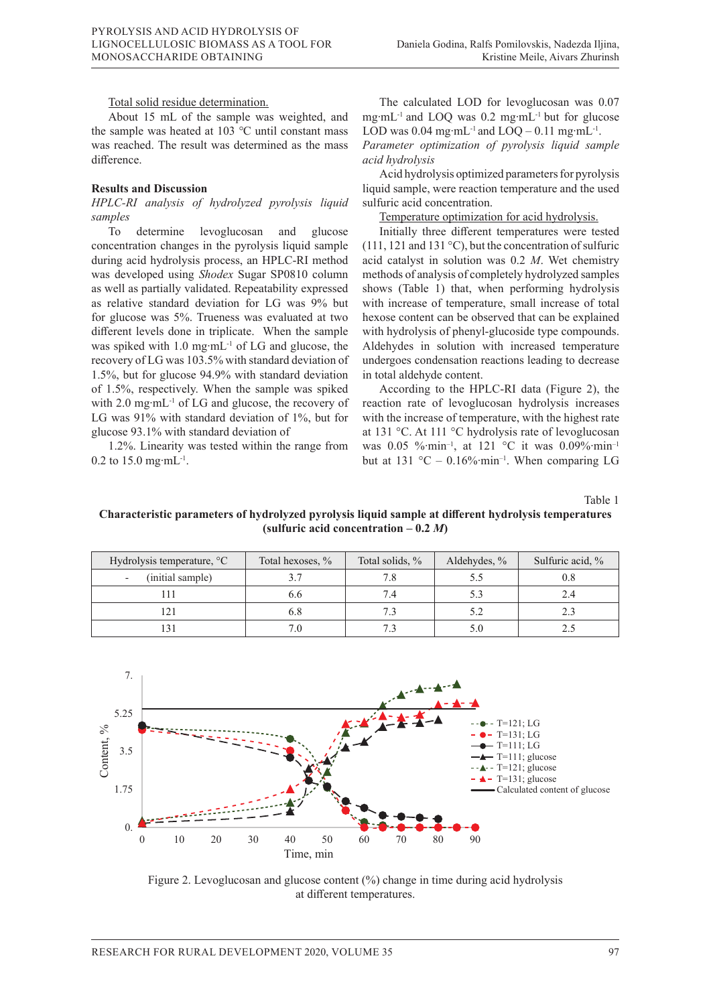### Total solid residue determination.

About 15 mL of the sample was weighted, and the sample was heated at 103 °C until constant mass LOD was 0.04 mg·mL<sup>-1</sup> and  $LOQ - 0.11$  mg·mL<sup>-1</sup>. was reached. The result was determined as the mass difference.

## $Results$  and Discussion

*samples* res see the analysis of the HPLC-RI method was developed using the state and the column as well as well as par<br>Samples Sugar Show September Superature optimization for acid hydrolysis.

To determine levoglucosan and glucose concentration changes in the pyrolysis liquid sample during acid hydrolysis process, an HPLC-RI method acid catalyst in solution was  $0.2$  *M*. Wet chemistry was developed using *Shodex* Sugar SP0810 column methods of analysis of completely hydroglucose 93.1% with state 93.1% with state 93.1% with state 93.1% with state 93.1% with state 93.1% with state 93.1% with state 93.1% w as well as partially validated. Repeatability expressed shows (Tabl The calculate standard deviation for LG was 9% but with increase of temperature, small increase of total and LO for glucose was 5%. Trueness was evaluated at two mg∗m different levels done in triplicate. When the sample with hydrolysis *done* in triplicate. was spiked with 1.0 mg⋅mL<sup>-1</sup> of LG and glucose, the Aldehydes in solution with increased temperature recovery of LG was 103.5% with standard deviation of 1.5%, but for glucose  $94.9\%$  with standard deviation of 1.5%, respectively. When the sample was spiked  $\blacksquare$  According to the HPLC-RI data (Figure 2), the with 2.0 mg⋅mL<sup>-1</sup> of LG and glucose, the recovery of reaction rate of levoglucosan hydrolysis increases LG was  $91\%$  with standard deviation of 1%, but for with the increase of temperature, with the highest rate glucose 93.1% with standard deviation of to determine revogates and and graces. This may alloc different temperatures were tested concentration changes in the pyrolysis liquid sample (111, 121 and 131 °C), but the concentration of sulfuric glucose 93.1% with standard deviation of  $\qquad \qquad$  at 131 °C. At 111 °C hydrolysis rate of levoglucosan during acid hydrolysis process, an 111 EC-KI memod acid catalyst in solution was 0.2 m. wet chemistry<br>The spike of Lord and glucose, the recovery and glucose, the recovery of Lord and the record of Lord glucose,

1.2%. Linearity was tested within the range from was 0.05 % min<sup>-1</sup>, at 121 °C it was 0.09% 1 0.2 to 15.0 mg⋅mL<sup>-1</sup>.

The calculated LOD for levoglucosan was 0.07 mg∙mL-1 and LOQ was 0.2 mg∙mL-1 but for glucose LOD was 0.04 mg⋅mL<sup>-1</sup> and LOQ – 0.11 mg⋅mL<sup>-1</sup>.

*Parameter optimization of pyrolysis liquid sample acid hydrolysis* 

HPLC-RI analysis of hydrolyzed pyrolysis liquid sulfuric acid concentration. Acid hydrolysis optimized parameters for pyrolysis liquid sample, were reaction temperature and the used sulfuric acid concentration.

The Temperature of the temperatures were tested<br>To determine levoglucosan and glucose Initially three different temperatures were tested acid catalyst in solution was 0.2 *M*. Wet chemistry methods of analysis of completely hydrolyzed samples shows (Table 1) that, when performing hydrolysis with increase of temperature, small increase of total hexose content can be observed that can be explained with hydrolysis of phenyl-glucoside type compounds. Aldehydes in solution with increased temperature undergoes condensation reactions leading to decrease in total aldehyde content.

> According to the HPLC-RI data (Figure 2), the reaction rate of levoglucosan hydrolysis increases with the increase of temperature, with the highest rate was 0.05 %∙min–1, at 121 °C it was 0.09%∙min–1 but at 131 °C – 0.16%∙min–1. When comparing LG

> > Table 1

# **Characteristic parameters of hydrolyzed pyrolysis liquid sample at different hydrolysis temperatures (sulfuric acid concentration**  $-0.2 M$ **)**

| Hydrolysis temperature, °C | Total hexoses, % | Total solids, % | Aldehydes, % | Sulfuric acid, % |
|----------------------------|------------------|-----------------|--------------|------------------|
| (initial sample)           |                  | 7.8             |              | 0.8              |
|                            | 6.6              | 7.4             | 5.3          | 2.4              |
|                            | 6.8              | 7.3             | 5.2          |                  |
|                            |                  |                 | 5.0          |                  |
|                            |                  |                 |              |                  |



Figure 2. Levoglucosan and glucose content (%) change in time during acid hydrolysis at different temperatures.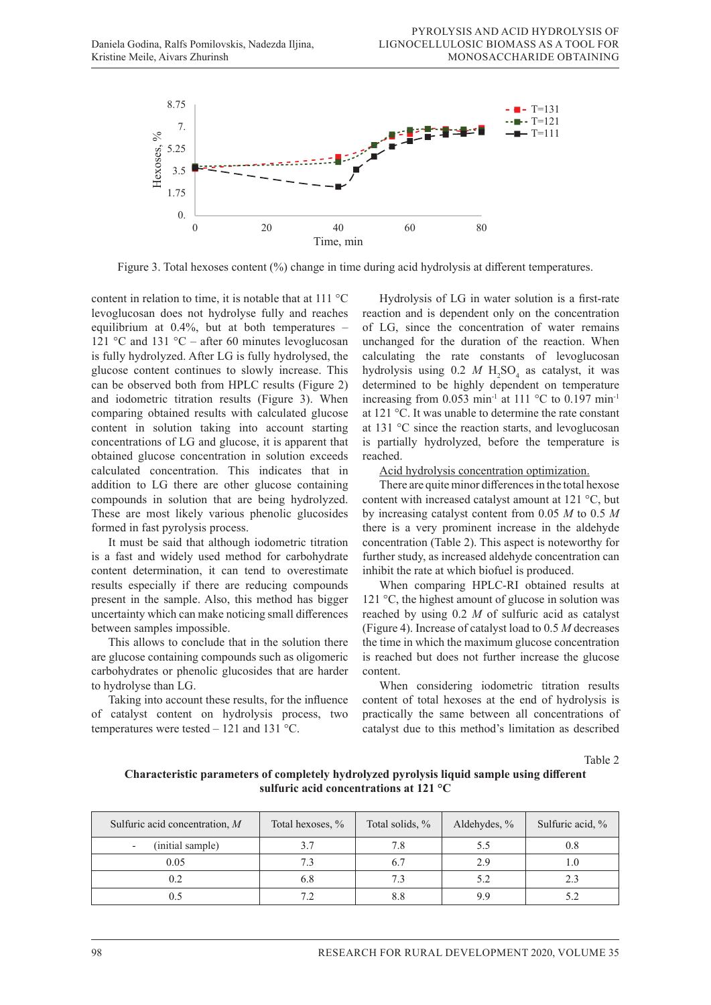

determination, it can tend to overestimate results especially if there are reducing compounds present in the sample.

Figure 3. Total hexoses content (%) change in time during acid hydrolysis at different temperatures.

content in relation to time, it is notable that at  $111 \,^{\circ}\mathrm{C}$  Hydrolysis of levoglucosan does not hydrolyse fully and reaches reaction and is dependent only on the concentration equilibrium at  $0.4\%$ , but at both temperatures -121 °C and 131 °C – after 60 minutes levoglucosan is fully hydrolyzed. After LG is fully hydrolysed, the glucose content continues to slowly increase. This hydrolysis using  $0.2$  *M* H<sub>2</sub>SO<sub>4</sub> as catalyst, it was can be observed both from HPLC results (Figure 2) determined to be highly dependent on temperature and iodometric titration results (Figure 3). When comparing obtained results with calculated glucose content in solution taking into account starting at  $131$  °C since the reaction starts, and levoglucosan concentrations of LG and glucose, it is apparent that is partially hydrolyzed, before the temperature is concentrations of LG and glucose, it is apparent that is partially hydrolyzed, before the temperature is obtained glucose concentration in solution exceeds reached. obtained gluesse concentration in solution executs<br>calculated concentration. This indicates that in addition to LG there are other glucose containing compounds in solution that are being hydrolyzed. content with increased catalyst amount at 121  $^{\circ}$ C, but These are most likely various phenolic glucosides by increasing formed in fast pyrolysis process. 121 °C and 131 °C – after 60 minutes levoglucosan unchanged for the duration of the reaction. When is fully hydrolyzed. After LG is fully hydrolysed, the calculating the rate constants of levoglucosan and iodometric titration results (Figure 3). When increasing from 0.053 min<sup>-1</sup> at 111 °C to 0.197 min<sup>-1</sup>

It must be said that although iodometric titration It that the distribution of the concentration (*Mose 2)*. This aspect is note worthy to<br>is a fast and widely used method for carbohydrate further study, as increased aldehyde concentration ca content determination, it can tend to overestimate inhibit the rate at which biofuel is produced. results especially if there are reducing compounds present in the sample. Also, this method has bigger uncertainty which can make noticing small differences between samples impossible.

This allows to conclude that in the solution there are glucose containing compounds such as oligomeric carbohydrates or phenolic glucosides that are harder to hydrolyse than LG.

Taking into account these results, for the influence of catalyst content on hydrolysis process, two temperatures were tested – 121 and 131 °C.

Hydrolysis of LG in water solution is a first-rate reaction and is dependent only on the concentration of LG, since the concentration of water remains hydrolysis using  $0.2$  *M*  $H_2SO_4$  as catalyst, it was determined to be highly dependent on temperature at 121 °C. It was unable to determine the rate constant at 131 °C since the reaction starts, and levoglucosan is partially hydrolyzed, before the temperature is reached.

Acid hydrolysis concentration optimization.

There are quite minor differences in the total hexose content with increased catalyst amount at 121 °C, but by increasing catalyst content from 0.05 *M* to 0.5 *M* there is a very prominent increase in the aldehyde concentration (Table 2). This aspect is noteworthy for further study, as increased aldehyde concentration can inhibit the rate at which biofuel is produced.

When comparing HPLC-RI obtained results at sample. Also, this method has bigger  $121 \degree C$ , the highest amount of glucose in solution was reached by using 0.2 *M* of sulfuric acid as catalyst es impossible. (Figure 4). Increase of catalyst load to 0.5 *M* decreases to conclude that in the solution there the time in which the maximum glucose concentration is reached but does not further increase the glucose content.

> When considering iodometric titration results content of total hexoses at the end of hydrolysis is practically the same between all concentrations of catalyst due to this method's limitation as described

> > Table 2

## **Characteristic parameters of completely hydrolyzed pyrolysis liquid sample using different sulfuric acid concentrations at 121 °C**

| Sulfuric acid concentration, $M$ | Total hexoses, % | Total solids, % | Aldehydes, % | Sulfuric acid, % |
|----------------------------------|------------------|-----------------|--------------|------------------|
| (initial sample)                 |                  |                 |              | $_{\rm 0.8}$     |
| 0.05                             |                  |                 | 2.9          |                  |
| 0.2                              | 6.8              |                 |              |                  |
| U.J                              |                  |                 | Q Q          |                  |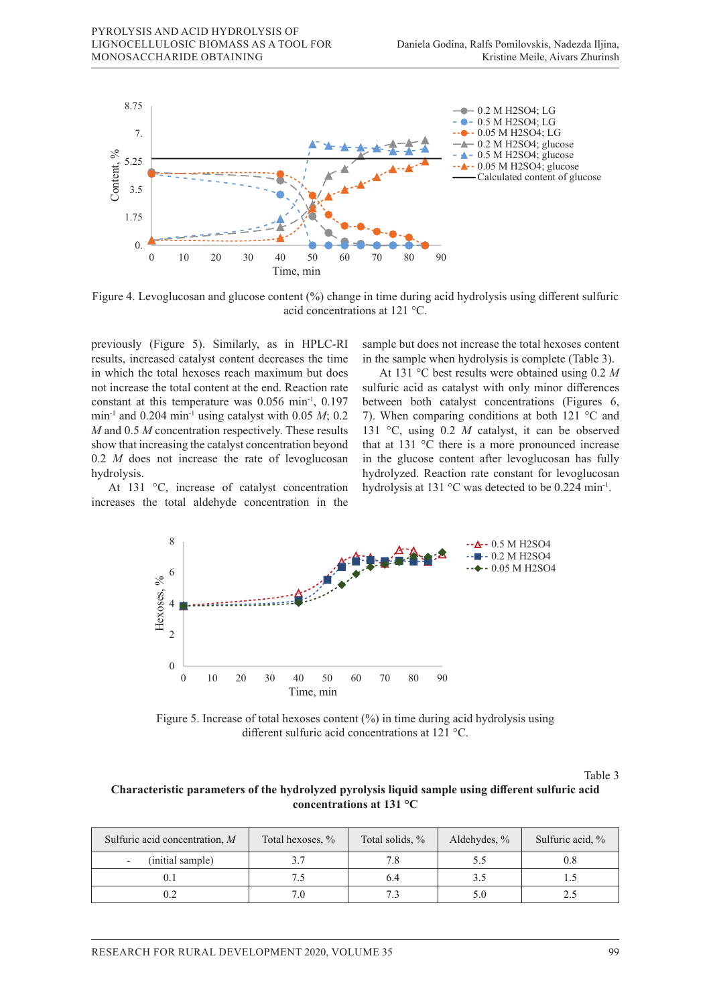

Figure 4. Levoglucosan and glucose content (%) change in time during acid hydrolysis using different sulfuric acid concentrations at 121 °C. olysis using different

previously (Figure 5). Similarly, as in HPLC-RI results, increased catalyst content decreases the time in the sample when hydrolysis is compared but does not further in the sample when hydrolysis is compared but does not further in the sample when hydrolysis is compared in which the total hexoses reach maximum but does not increase the total content at the end. Reaction rate 8 constant at this temperature was 0.056 min<sup>-1</sup>, 0.197 min<sup>-1</sup> and 0.204 min<sup>-1</sup> using catalyst with 0.05  $M$ ; 0.2 7). When compar  $M$  and 0.5  $M$  concentration respectively. These results show that increasing the catalyst concentration beyond 4 0.2 *M* does not increase the rate of levoglucosan hydrolysis. U-1<br>CO<br>Tea<br>no ric<br>U

At 131 °C, increase of catalyst concentration increases the total aldehyde concentration in the  $t_{\rm max}$  maximum glucose concentration is reached but does not further increase the glucose content.

previously (Figure 5). Similarly, as in HPLC-RI sample but does not increase the total hexoses content in the sample when hydrolysis is complete (Table 3).

At 131 °C best results were obtained using 0.2 *M* sulfuric acid as catalyst with only minor differences between both catalyst concentrations (Figures 6, 7). When comparing conditions at both  $121^{\circ}$ C and 131 °C, using 0.2 *M* catalyst, it can be observed how that increasing the catalyst concentration beyond that at 131 °C there is a more pronounced increase evoglucosan in the glucose content after levoglucosan has fully hydrolyzed. Reaction rate constant for levoglucosan At 131 °C, increase of catalyst concentration hydrolysis at 131 °C was detected to be 0.224 min<sup>-1</sup>.



different sulfuric acid concentrations at  $121 \text{ }^{\circ}$ C. Figure 5. Increase of total hexoses content (%) in time during acid hydrolysis using

Similarly, as in HPLC-Ri results, increased catalyst content decreases the time in which the time in which the time in which the time in which the time in which the time in which the time in which the time in which the tim Table 3

# lable 3<br>Characteristic parameters of the hydrolyzed pyrolysis liquid sample using different sulfuric acid minum-1, 1, 1, 0.197 minum-1 and 0.05  $\mu$  **C** concentrations at 131 °C

| Sulfuric acid concentration, $M$ | Total hexoses, % | Total solids, % | Aldehydes, % | Sulfuric acid, % |
|----------------------------------|------------------|-----------------|--------------|------------------|
| (initial sample)                 |                  |                 | 5.5          |                  |
|                                  |                  |                 |              |                  |
|                                  |                  |                 |              |                  |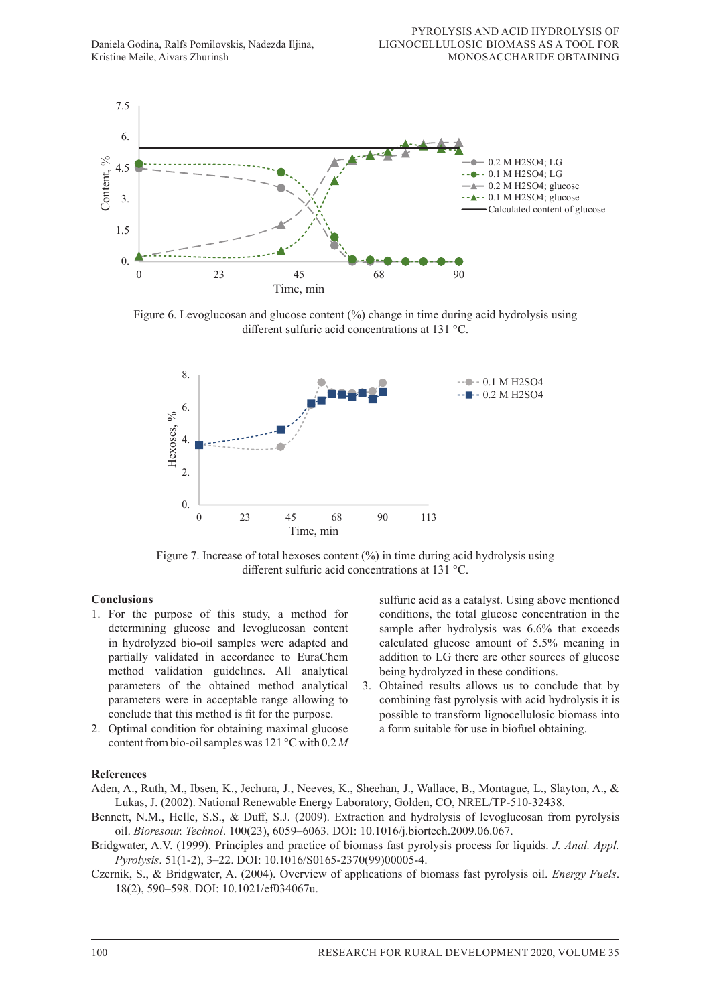

 $F(x, \alpha)$  content ( $\alpha$ ) change in time during activities using activities using different sulfurical hydrolysis using different sulfurical hydrolysis using different sulfurical hydrolysis using different sulfurical hydrol Figure 6. Levoglucosan and glucose content  $(\%)$  change in time during acid hydrolysis using different sulfuric acid concentrations at 131 °C.



exoses content  $(\% )$  in time Figure 7. Increase of total hexoses content  $(\%)$  in time during acid hydrolysis using different sulfuric acid concentrations at 131 °C.

### **Conclusions**

- 1. For the purpose of this study, a method for conditions, the total glucose concentration in the determining glucose and levoglucosan content sample after hydrolysis was 6.6% that exceeds in hydrolyzed bio-oil samples were adapted and partially validated in accordance to EuraChem method validation guidelines. All analytical parameters of the obtained method analytical parameters were in acceptable range allowing to combining fast pyrolysis with acid hydrolysis it is conclude that this method is fit for the purpose. parameters of the obtained method analytical 3. Obtained results allows us to conclude that by conclude that this method is fit for the purpose. possible to transform lignocellulosic biomass into
- 2. Optimal condition for obtaining maximal glucose content from bio-oil samples was  $121^{\circ}$ C with  $0.2 M$  $\frac{1}{1}$

**Conclusions** contains a sulfuric acid as a catalyst. Using above mentioned conditions, the total glucose concentration in the sample after hydrolysis was 6.6% that exceeds calculated glucose amount of 5.5% meaning in addition to LG there are other sources of glucose being hydrolyzed in these conditions.

parameters were in acceptable range allowing to combining fast pyrolysis with acid hydrolysis it is a form suitable for use in biofuel obtaining.

### hydrolysis was 6.6% that exceeds calculated glucose amount of 5.5% means of 5.5% means in addition to LG there are othere are othere are othere are othere are othere are othere are othere are othere are othere are othere a  $f_{\text{cusp}}$  calculated glucose amount of  $\frac{1}{\sqrt{2}}$ .55% means and  $\frac{1}{\sqrt{2}}$ **References**

- **References**<br>Aden. A.. Ruth. M.. Ibsen. K.. Jechura. J.. Neeves. K.. She Lukas, J. (2002). National Renewable Energy Laboratory, Golden, CO, NREL/TP-510-32438. 3. Aden, A., Ruth, M., Ibsen, K., Jechura, J., Neeves, K., Sheehan, J., Wallace, B., Montague, L., Slayton, A., &
	- Bennett, N.M., Helle, S.S., & Duff, S.J. (2009). Extraction and hydrolysis of levoglucosan from pyrolysis **References** oil. *Bioresour. Technol*. 100(23), 6059–6063. DOI: 10.1016/j.biortech.2009.06.067.
- Bridgwater, A.V. (1999). Principles and practice of biomass fast pyrolysis process for liquids. J. Anal. Appl.  $Pyrolysis. 51(1-2), 3-22. DOI: 10.1016/S0165-2370(99)00005-4.$
- Czernik, S., & Bridgwater, A. (2004). Overview of applications of biomass fast pyrolysis oil. Energy Fuels.  $18(2)$ , 590–598. DOI: 10.1021/ef034067u. oil. *Bioresour. Technol*. 100(23), 6059–6063. DOI: 10.1016/j.biortech.2009.06.067.